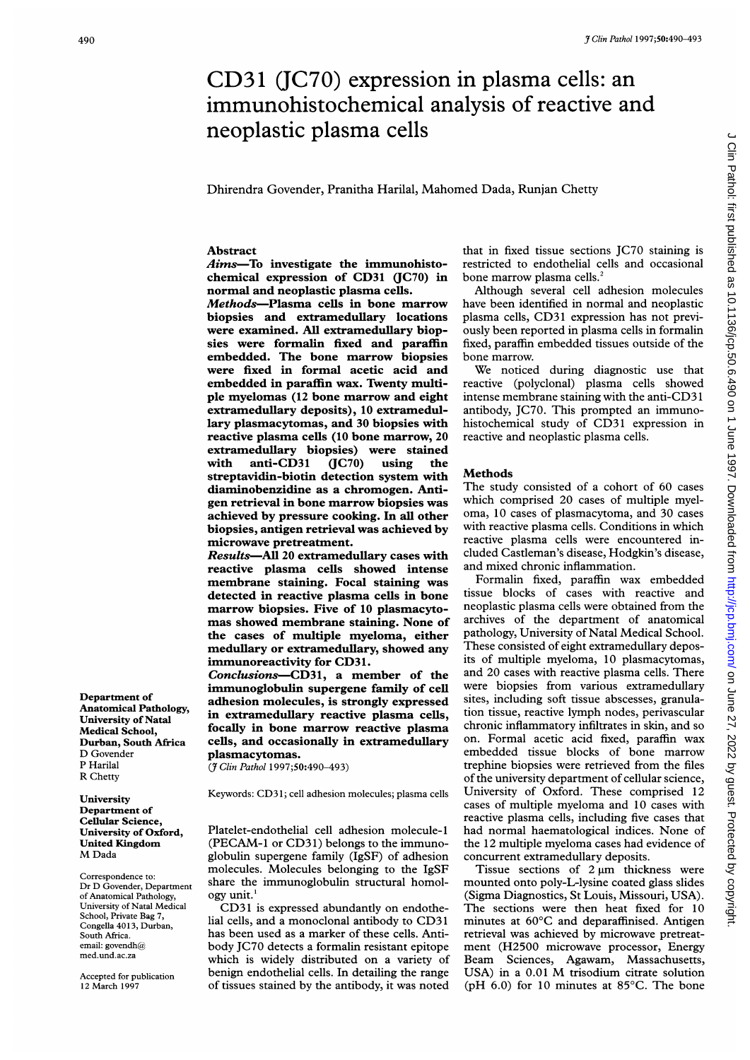# <sup>9 Clin Pathol 1997;50:490-493</sup><br>CD31 (JC70) expression in plasma cells: an<br>immunohistochemical analysis of reactive and<br>neoplastic plasma cells  $CD31$  (JC70) expression in plasma cells: an immunohistochemical analysis of reactive and neoplastic plasma cells

Dhirendra Govender, Pranitha Harilal, Mahomed Dada, Runjan Chetty

### Abstract

Aims-To investigate the immunohistochemical expression of CD31 (JC70) in normal and neoplastic plasma cells.

Methods-Plasma cells in bone marrow biopsies and extramedullary locations were examined. All extramedullary biopsies were formalin fixed and paraffin embedded. The bone marrow biopsies were fixed in formal acetic acid and embedded in paraffin wax. Twenty multiple myelomas (12 bone marrow and eight extramedullary deposits), 10 extramedullary plasmacytomas, and 30 biopsies with reactive plasma cells (10 bone marrow, 20 extramedullary biopsies) were stained with anti-CD31 (JC70) using the streptavidin-biotin detection system with diaminobenzidine as a chromogen. Antigen retrieval in bone marrow biopsies was achieved by pressure cooking. In all other biopsies, antigen retrieval was achieved by microwave pretreatment.

Results-All 20 extramedullary cases with reactive plasma cells showed intense membrane staining. Focal staining was detected in reactive plasma cells in bone marrow biopsies. Five of 10 plasmacytomas showed membrane staining. None of the cases of multiple myeloma, either medullary or extramedullary, showed any immunoreactivity for CD31.

Conclusions-CD31, a member of the immunoglobulin supergene family of cell adhesion molecules, is strongly expressed in extramedullary reactive plasma cells, focally in bone marrow reactive plasma cells, and occasionally in extramedullary plasmacytomas.

(7 Clin Pathol 1997;50:490-493)

Keywords: CD3 1; cell adhesion molecules; plasma cells

Platelet-endothelial cell adhesion molecule-1 (PECAM-1 or CD31) belongs to the immunoglobulin supergene family (IgSF) of adhesion molecules. Molecules belonging to the IgSF share the immunoglobulin structural homology unit.'

CD31 is expressed abundantly on endothelial cells, and <sup>a</sup> monoclonal antibody to CD31 has been used as a marker of these cells. Antibody JC70 detects a formalin resistant epitope which is widely distributed on a variety of benign endothelial cells. In detailing the range of tissues stained by the antibody, it was noted

that in fixed tissue sections JC70 staining is restricted to endothelial cells and occasional bone marrow plasma cells.<sup>2</sup>

Although several cell adhesion molecules have been identified in normal and neoplastic plasma cells, CD31 expression has not previously been reported in plasma cells in formalin fixed, paraffin embedded tissues outside of the bone marrow.

We noticed during diagnostic use that reactive (polyclonal) plasma cells showed intense membrane staining with the anti-CD3 <sup>1</sup> antibody, JC70. This prompted an immunohistochemical study of CD31 expression in reactive and neoplastic plasma cells.

## **Methods**

The study consisted of a cohort of 60 cases which comprised 20 cases of multiple myeloma, 10 cases of plasmacytoma, and 30 cases with reactive plasma cells. Conditions in which reactive plasma cells were encountered included Castleman's disease, Hodgkin's disease, and mixed chronic inflammation.

Formalin fixed, paraffin wax embedded tissue blocks of cases with reactive and neoplastic plasma cells were obtained from the archives of the department of anatomical pathology, University of Natal Medical School. These consisted of eight extramedullary deposits of multiple myeloma, 10 plasmacytomas, and 20 cases with reactive plasma cells. There were biopsies from various extramedullary sites, including soft tissue abscesses, granulation tissue, reactive lymph nodes, perivascular chronic inflammatory infiltrates in skin, and so on. Formal acetic acid fixed, paraffin wax embedded tissue blocks of bone marrow trephine biopsies were retrieved from the files of the university department of cellular science, University of Oxford. These comprised 12 cases of multiple myeloma and 10 cases with reactive plasma cells, including five cases that had normal haematological indices. None of the 12 multiple myeloma cases had evidence of concurrent extramedullary deposits.

Tissue sections of  $2 \mu m$  thickness were mounted onto poly-L-lysine coated glass slides (Sigma Diagnostics, St Louis, Missouri, USA). The sections were then heat fixed for 10 minutes at 60°C and deparaffinised. Antigen retrieval was achieved by microwave pretreatment (H2500 microwave processor, Energy Beam Sciences, Agawam, Massachusetts, USA) in <sup>a</sup> 0.01 M trisodium citrate solution (pH 6.0) for 10 minutes at 85°C. The bone

Department of Anatomical Pathology, University of Natal Medical School, Durban, South Africa D Govender P Harilal R Chetty

**University** Department of Cellular Science, University of Oxford, United Kingdom M Dada

Correspondence to: Dr D Govender, Department of Anatomical Pathology, University of Natal Medical School, Private Bag 7, Congella 4013, Durban, South Africa. email: govendh $@$ med.und.ac.za

Accepted for publication 12 March 1997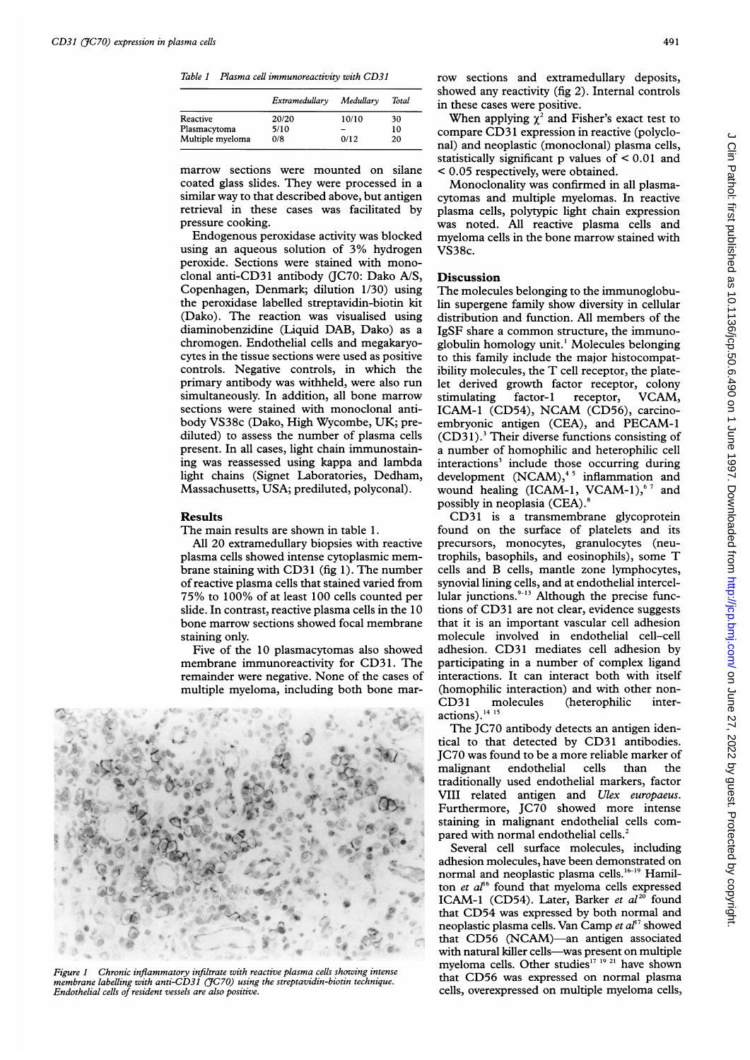Table <sup>1</sup> Plasma cell immunoreactivity with CD31

|                  | Extramedullary | Medullary | Total |
|------------------|----------------|-----------|-------|
| Reactive         | 20/20          | 10/10     | 30    |
| Plasmacytoma     | 5/10           |           | 10    |
| Multiple myeloma | 0/8            | 0/12      | 20    |

marrow sections were mounted on silane coated glass slides. They were processed in a similar way to that described above, but antigen retrieval in these cases was facilitated by pressure cooking.

Endogenous peroxidase activity was blocked using an aqueous solution of 3% hydrogen peroxide. Sections were stained with monoclonal anti-CD31 antibody (JC70: Dako A/S, Copenhagen, Denmark; dilution 1/30) using the peroxidase labelled streptavidin-biotin kit (Dako). The reaction was visualised using diaminobenzidine (Liquid DAB, Dako) as <sup>a</sup> chromogen. Endothelial cells and megakaryocytes in the tissue sections were used as positive controls. Negative controls, in which the primary antibody was withheld, were also run simultaneously. In addition, all bone marrow sections were stained with monoclonal antibody VS38c (Dako, High Wycombe, UK; prediluted) to assess the number of plasma cells present. In all cases, light chain immunostaining was reassessed using kappa and lambda light chains (Signet Laboratories, Dedham, Massachusetts, USA; prediluted, polyconal).

# Results

The main results are shown in table 1.

All 20 extramedullary biopsies with reactive plasma cells showed intense cytoplasmic membrane staining with CD31 (fig 1). The number of reactive plasma cells that stained varied from 75% to 100% of at least 100 cells counted per slide. In contrast, reactive plasma cells in the 10 bone marrow sections showed focal membrane staining only.

Five of the 10 plasmacytomas also showed membrane immunoreactivity for CD31. The remainder were negative. None of the cases of multiple myeloma, including both bone mar-



Figure <sup>1</sup> Chronic inflammatory infiltrate with reactive plasma cells showing intense membrane labelling with anti-CD31 (JC70) using the streptavidin-biotin technique. Endothelial cells of resident vessels are also positive.

row sections and extramedullary deposits, showed any reactivity (fig 2). Internal controls in these cases were positive.

When applying  $\chi^2$  and Fisher's exact test to compare CD31 expression in reactive (polyclonal) and neoplastic (monoclonal) plasma cells, statistically significant p values of < 0.01 and < 0.05 respectively, were obtained.

Monoclonality was confirmed in all plasmacytomas and multiple myelomas. In reactive plasma cells, polytypic light chain expression was noted. All reactive plasma cells and myeloma cells in the bone marrow stained with VS38c.

### **Discussion**

The molecules belonging to the immunoglobulin supergene family show diversity in cellular distribution and function. All members of the IgSF share <sup>a</sup> common structure, the immunoglobulin homology unit.' Molecules belonging to this family include the major histocompatibility molecules, the T cell receptor, the platelet derived growth factor receptor, colony<br>stimulating factor-1 receptor, VCAM, stimulating factor-1 receptor, ICAM-1 (CD54), NCAM (CD56), carcinoembryonic antigen (CEA), and PECAM-1  $(CD31)$ .<sup>3</sup> Their diverse functions consisting of a number of homophilic and heterophilic cell interactions<sup>3</sup> include those occurring during development  $(NCAM)$ ,<sup>45</sup> inflammation and wound healing  $(ICAM-1, VCAM-1)$ ,  $67$  and possibly in neoplasia (CEA).8

CD31 is a transmembrane glycoprotein found on the surface of platelets and its precursors, monocytes, granulocytes (neutrophils, basophils, and eosinophils), some T cells and B cells, mantle zone lymphocytes, synovial lining cells, and at endothelial intercellular junctions.<sup>9-13</sup> Although the precise functions of CD31 are not clear, evidence suggests that it is an important vascular cell adhesion molecule involved in endothelial cell-cell adhesion. CD31 mediates cell adhesion by participating in a number of complex ligand interactions. It can interact both with itself (homophilic interaction) and with other non-CD31 molecules (heterophilic interactions).<sup>14</sup><sup>15</sup>

The IC70 antibody detects an antigen identical to that detected by CD31 antibodies. JC70 was found to be a more reliable marker of<br>malignant endothelial cells than the malignant endothelial cells than the traditionally used endothelial markers, factor VIII related antigen and Ulex europaeus. Furthermore, JC70 showed more intense staining in malignant endothelial cells compared with normal endothelial cells.<sup>2</sup>

Several cell surface molecules, including adhesion molecules, have been demonstrated on normal and neoplastic plasma cells.<sup>16-19</sup> Hamilton et  $al<sup>16</sup>$  found that myeloma cells expressed ICAM-1 (CD54). Later, Barker et  $al^{20}$  found that CD54 was expressed by both normal and neoplastic plasma cells. Van Camp et  $al<sup>17</sup>$  showed that CD56 (NCAM)-an antigen associated with natural killer cells-was present on multiple myeloma cells. Other studies<sup>17</sup> <sup>19</sup> <sup>21</sup> have shown that CD56 was expressed on normal plasma cells, overexpressed on multiple myeloma cells,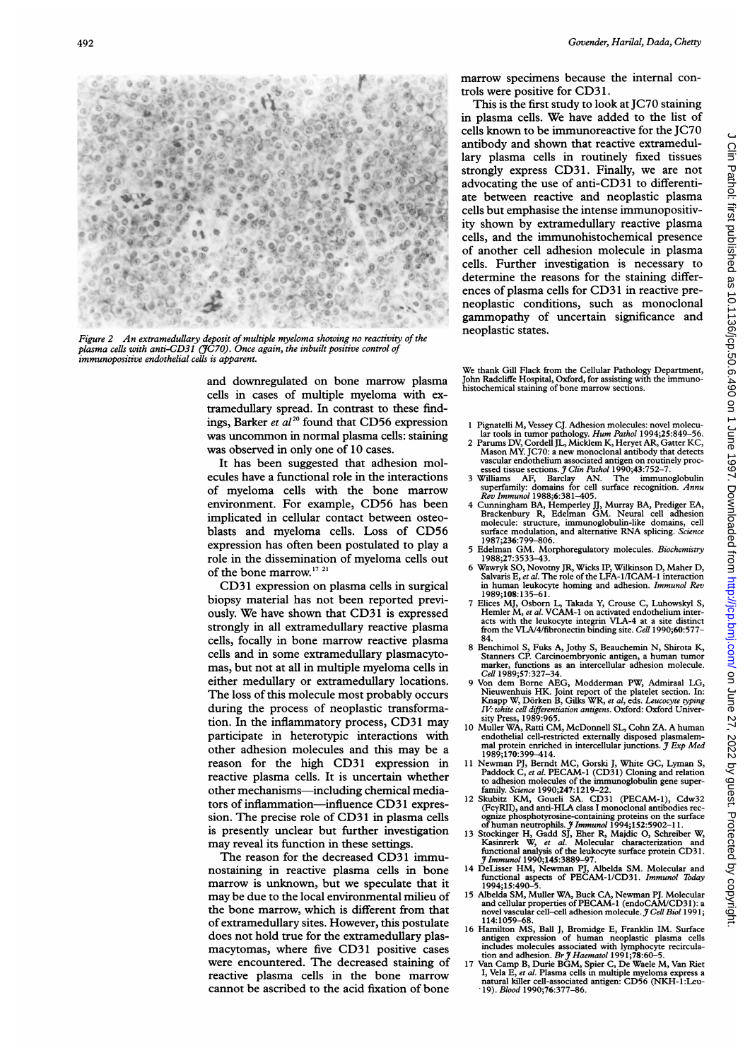

Figure 2 An extramedullary deposit of multiple myeloma showing no reactivity of the plasma cells with anti-CD31 (JC70). Once again, the inbuilt positive control of immunopositive endothelial cells is apparent.

and downregulated on bone marrow plasma cells in cases of multiple myeloma with extramedullary spread. In contrast to these findings, Barker *et al*<sup>20</sup> found that CD56 expression was uncommon in normal plasma cells: staining was observed in only one of 10 cases.

It has been suggested that adhesion molecules have a functional role in the interactions of myeloma cells with the bone marrow environment. For example, CD56 has been implicated in cellular contact between osteoblasts and myeloma cells. Loss of CD56 expression has often been postulated to play a role in the dissemination of myeloma cells out of the bone marrow.<sup>17</sup><sup>21</sup>

CD31 expression on plasma cells in surgical biopsy material has not been reported previously. We have shown that CD31 is expressed strongly in all extramedullary reactive plasma cells, focally in bone marrow reactive plasma cells and in some extramedullary plasmacytomas, but not at all in multiple myeloma cells in either medullary or extramedullary locations. The loss of this molecule most probably occurs during the process of neoplastic transformation. In the inflammatory process, CD31 may participate in heterotypic interactions with other adhesion molecules and this may be a reason for the high CD31 expression in reactive plasma cells. It is uncertain whether other mechanisms—including chemical mediators of inflammation-influence CD31 expression. The precise role of CD31 in plasma cells is presently unclear but further investigation may reveal its function in these settings.

The reason for the decreased CD31 immunostaining in reactive plasma cells in bone marrow is unknown, but we speculate that it may be due to the local environmental milieu of the bone marrow, which is different from that of extramedullary sites. However, this postulate does not hold true for the extramedullary plasmacytomas, where five CD31 positive cases were encountered. The decreased staining of reactive plasma cells in the bone marrow cannot be ascribed to the acid fixation of bone marrow specimens because the internal controls were positive for CD3 1.

This is the first study to look at JC70 staining in plasma cells. We have added to the list of cells known to be immunoreactive for the JC70 antibody and shown that reactive extramedullary plasma cells in routinely fixed tissues antibody and shown that reactive extramedu-<br>lary plasma cells in routinely fixed tissues<br>strongly express CD31. Finally, we are not<br>advocating the use of anti-CD31 to differentiadvocating the use of anti-CD31 to differentiate between reactive and neoplastic plasma cells but emphasise the intense immunopositivity shown by extramedullary reactive plasma cells, and the immunohistochemical presence<br>
of another cell adhesion molecule in plasma<br>
cells. Further investigation is necessary to<br>
determine the reasons for the staining differof another cell adhesion molecule in plasma determine the reasons for the staining differences of plasma cells for CD31 in reactive preneoplastic conditions, such as monoclonal gammopathy of uncertain significance and neoplastic states.

> We thank Gill Flack from the Cellular Pathology Department, John Radcliffe Hospital, Oxford, for assisting with the immunohistochemical staining of bone marrow sections.

- <sup>1</sup> Pignatelli M, Vessey CJ. Adhesion molecules: novel molecu-
- lar tools in tumor pathology. Hum Pathol 1994;25:849-56. 2 Parums DV, Cordell JL, Micklem K, Heryet AR, Gatter KC, Mason MY. JC70: a new monoclonal antibody that detects vascular endothelium associated antigen on routinely proc-
- essed tissue sections. *J Clin Pathol* 1990;43:752-7<br>Williams AF, Barclay AN. The immun 3 Williams AF, Barclay AN. The immunoglobulin superfamily: domains for cell surface recognition. Annu Rev Immunol 1988;6:381-405.
- 4 Cunningham BA, Hemperley JJ, Murray BA, Prediger EA, Brackenbury R, Edelman GM. Neural cell adhesion molecule: structure, immunoglobulin-like domains, cell<br>surface modulation, and alternative RNA splicing. Science 1987;236:799-806.
- <sup>5</sup> Edelman GM. Morphoregulatory molecules. Biochemistry 1988;27:3533-43.
- 6 Wawryk SO, Novotny JR, Wicks IP, Wilkinson D, Maher D, Salvaris E, et al. The role of the LFA-1/ICAM-1 interaction in human leukocyte homing and adhesion. Immunol Rev 1989;108:135-61.
- 7 Elices MJ, Osborn L, Takada Y, Crouse C, Luhowskyl S, Hemler M, et al. VCAM-1 on activated endothelium interacts with the leukocyte integrin VLA-4 at a site distinct from the VLA/4/fibronectin binding site. *Cell* 1990; 84.
- 8 Benchimol S, Fuks A, Jothy S, Beauchemin N, Shirota K, Stanners CP. Carcinoembryonic antigen, a human tumor marker, functions as an intercellular adhesion molecule. Cell 1989;57:327-34.
- 9 Von dem Borne AEG, Modderman PW, Admiraal LG, Nieuwenhuis HK. Joint report of the platelet section. In:<br>Knapp W, Dörken B, Gilks WR, et al, eds. Leucocyte typing IV: white cell differentiation antigens. Oxford: Oxford Univer-sity Press, 1989:965.
- <sup>10</sup> Muller WA, Ratti CM, McDonnell SL, Cohn ZA. A human endothelial cell-restricted externally disposed plasmalem-<br>mal protein enriched in intercellular junctions. J Exp Med<br>1989;170:399–414.
- 11 Newman PJ, Berndt MC, Gorski J, White GC, Lyman S, Paddock C, et al. PECAM-1 (CD31) Cloning and relation to adhesion molecules of the immunoglobulin gene super-
- family. Science 1990;247:1219-22.<br>
12 Skubitz KM, Goueli SA. CD31 (PECAM-1), Cdw32<br>
(FcyRII), and anti-HLA class I monoclonal antibodies recognize phosphotyrosine-containing proteins on the surface<br>
of human neutrophils.
- 13 Stockinger H, Gadd SJ, Eher R, Majdic O, Schreiber W, Kasinrerk W, et al. Molecular characterization and functional analysis of the leukocyte surface protein CD31.<br>*J Immunol* 1990;145:3889-97.
- 14 DeLisser HM, Newman PJ, Albelda SM. Molecular and functional aspects of PECAM-1/CD31. Immunol Today 1994;15:490-5.
- 15 Albelda SM, Muller WA, Buck CA, Newman PJ. Molecular<br>and cellular properties of PECAM-1 (endoCAM/CD31): a<br>novel vascular cell-cell adhesion molecule. *J Cell Biol* 1991; 114:1059-68.
- 16 Hamilton MS, Ball J, Bromidge E, Franklin IM. Surfac antigen expression of human neoplastic plasma cells<br>includes molecules associated with lymphocyte recircula-<br>tion and adhesion. Br  $\tilde{y}$  Haematol 1991;78:60-5.<br>17 Van Camp B, Durie BGM, Spier C, De Waele M, Van Riet<br>I,
- natural killer cell-associated antigen: CD56 (NKH-1:Leu-19). Blood 1990;76:377-86.